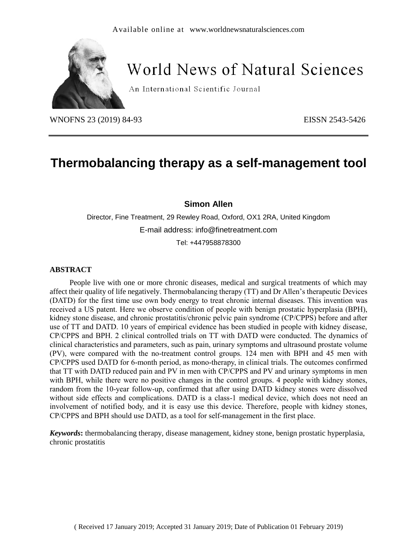

# **World News of Natural Sciences**

An International Scientific Journal

WNOFNS 23 (2019) 84-93<br>
EISSN 2543-5426

## **Thermobalancing therapy as a self-management tool**

**Simon Allen**

Director, Fine Treatment, 29 Rewley Road, Oxford, OX1 2RA, United Kingdom E-mail address: info@finetreatment.com

Tel: +447958878300

#### **ABSTRACT**

People live with one or more chronic diseases, medical and surgical treatments of which may affect their quality of life negatively. Thermobalancing therapy (TT) and Dr Allen's therapeutic Devices (DATD) for the first time use own body energy to treat chronic internal diseases. This invention was received a US patent. Here we observe condition of people with benign prostatic hyperplasia (BPH), kidney stone disease, and chronic prostatitis/chronic pelvic pain syndrome (CP/CPPS) before and after use of TT and DATD. 10 years of empirical evidence has been studied in people with kidney disease, CP/CPPS and BPH. 2 clinical controlled trials on TT with DATD were conducted. The dynamics of clinical characteristics and parameters, such as pain, urinary symptoms and ultrasound prostate volume (PV), were compared with the no-treatment control groups. 124 men with BPH and 45 men with CP/CPPS used DATD for 6-month period, as mono-therapy, in clinical trials. The outcomes confirmed that TT with DATD reduced pain and PV in men with CP/CPPS and PV and urinary symptoms in men with BPH, while there were no positive changes in the control groups. 4 people with kidney stones, random from the 10-year follow-up, confirmed that after using DATD kidney stones were dissolved without side effects and complications. DATD is a class-1 medical device, which does not need an involvement of notified body, and it is easy use this device. Therefore, people with kidney stones, CP/CPPS and BPH should use DATD, as a tool for self-management in the first place.

*Keywords***:** thermobalancing therapy, disease management, kidney stone, benign prostatic hyperplasia, chronic prostatitis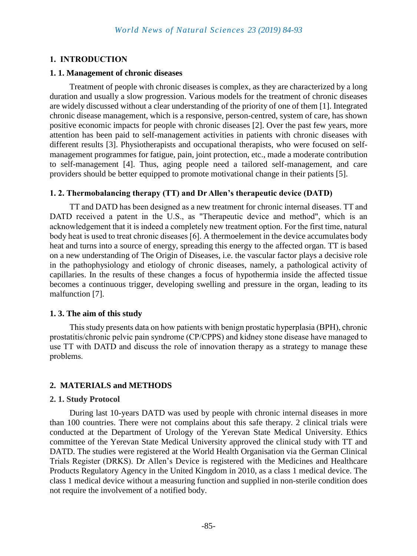## **1. INTRODUCTION**

#### **1. 1. Management of chronic diseases**

Treatment of people with chronic diseases is complex, as they are characterized by a long duration and usually a slow progression. Various models for the treatment of chronic diseases are widely discussed without a clear understanding of the priority of one of them [1]. Integrated chronic disease management, which is a responsive, person-centred, system of care, has shown positive economic impacts for people with chronic diseases [2]. Over the past few years, more attention has been paid to self-management activities in patients with chronic diseases with different results [3]. Physiotherapists and occupational therapists, who were focused on selfmanagement programmes for fatigue, pain, joint protection, etc., made a moderate contribution to self-management [4]. Thus, aging people need a tailored self-management, and care providers should be better equipped to promote motivational change in their patients [5].

## **1. 2. Thermobalancing therapy (TT) and Dr Allen's therapeutic device (DATD)**

TT and DATD has been designed as a new treatment for chronic internal diseases. TT and DATD received a patent in the U.S., as "Therapeutic device and method", which is an acknowledgement that it is indeed a completely new treatment option. For the first time, natural body heat is used to treat chronic diseases [6]. A thermoelement in the device accumulates body heat and turns into a source of energy, spreading this energy to the affected organ. TT is based on a new understanding of The Origin of Diseases, i.e. the vascular factor plays a decisive role in the pathophysiology and etiology of chronic diseases, namely, a pathological activity of capillaries. In the results of these changes a focus of hypothermia inside the affected tissue becomes a continuous trigger, developing swelling and pressure in the organ, leading to its malfunction [7].

## **1. 3. The aim of this study**

This study presents data on how patients with benign prostatic hyperplasia (BPH), chronic prostatitis/chronic pelvic pain syndrome (CP/CPPS) and kidney stone disease have managed to use TT with DATD and discuss the role of innovation therapy as a strategy to manage these problems.

## **2. MATERIALS and METHODS**

#### **2. 1. Study Protocol**

During last 10-years DATD was used by people with chronic internal diseases in more than 100 countries. There were not complains about this safe therapy. 2 clinical trials were conducted at the Department of Urology of the Yerevan State Medical University. Ethics committee of the Yerevan State Medical University approved the clinical study with TT and DATD. The studies were registered at the World Health Organisation via the German Clinical Trials Register (DRKS). Dr Allen's Device is registered with the Medicines and Healthcare Products Regulatory Agency in the United Kingdom in 2010, as a class 1 medical device. The class 1 medical device without a measuring function and supplied in non-sterile condition does not require the involvement of a notified body.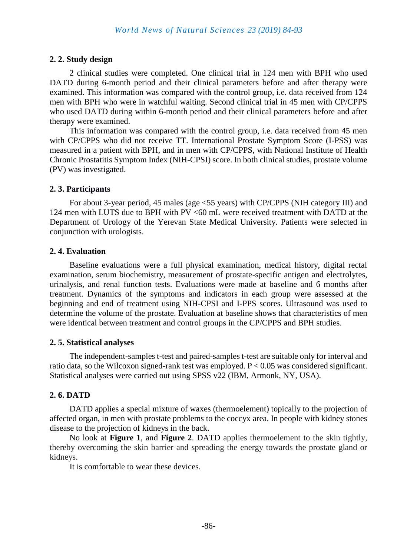## **2. 2. Study design**

2 clinical studies were completed. One clinical trial in 124 men with BPH who used DATD during 6-month period and their clinical parameters before and after therapy were examined. This information was compared with the control group, i.e. data received from 124 men with BPH who were in watchful waiting. Second clinical trial in 45 men with CP/CPPS who used DATD during within 6-month period and their clinical parameters before and after therapy were examined.

This information was compared with the control group, i.e. data received from 45 men with CP/CPPS who did not receive TT. International Prostate Symptom Score (I-PSS) was measured in a patient with BPH, and in men with CP/CPPS, with National Institute of Health Chronic Prostatitis Symptom Index (NIH-CPSI) score. In both clinical studies, prostate volume (PV) was investigated.

### **2. 3. Participants**

For about 3-year period, 45 males (age <55 years) with CP/CPPS (NIH category III) and 124 men with LUTS due to BPH with PV <60 mL were received treatment with DATD at the Department of Urology of the Yerevan State Medical University. Patients were selected in conjunction with urologists.

### **2. 4. Evaluation**

Baseline evaluations were a full physical examination, medical history, digital rectal examination, serum biochemistry, measurement of prostate-specific antigen and electrolytes, urinalysis, and renal function tests. Evaluations were made at baseline and 6 months after treatment. Dynamics of the symptoms and indicators in each group were assessed at the beginning and end of treatment using NIH-CPSI and I-PPS scores. Ultrasound was used to determine the volume of the prostate. Evaluation at baseline shows that characteristics of men were identical between treatment and control groups in the CP/CPPS and BPH studies.

## **2. 5. Statistical analyses**

The independent-samples t-test and paired-samples t-test are suitable only for interval and ratio data, so the Wilcoxon signed-rank test was employed. P < 0.05 was considered significant. Statistical analyses were carried out using SPSS v22 (IBM, Armonk, NY, USA).

## **2. 6. DATD**

DATD applies a special mixture of waxes (thermoelement) topically to the projection of affected organ, in men with prostate problems to the coccyx area. In people with kidney stones disease to the projection of kidneys in the back.

No look at **Figure 1**, and **Figure 2**. DATD applies thermoelement to the skin tightly, thereby overcoming the skin barrier and spreading the energy towards the prostate gland or kidneys.

It is comfortable to wear these devices.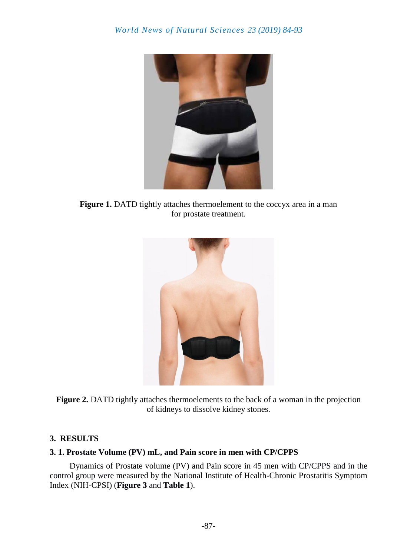

Figure 1. DATD tightly attaches thermoelement to the coccyx area in a man for prostate treatment.



**Figure 2.** DATD tightly attaches thermoelements to the back of a woman in the projection of kidneys to dissolve kidney stones.

## **3. RESULTS**

## **3. 1. Prostate Volume (PV) mL, and Pain score in men with CP/CPPS**

Dynamics of Prostate volume (PV) and Pain score in 45 men with CP/CPPS and in the control group were measured by the National Institute of Health-Chronic Prostatitis Symptom Index (NIH-CPSI) (**Figure 3** and **Table 1**).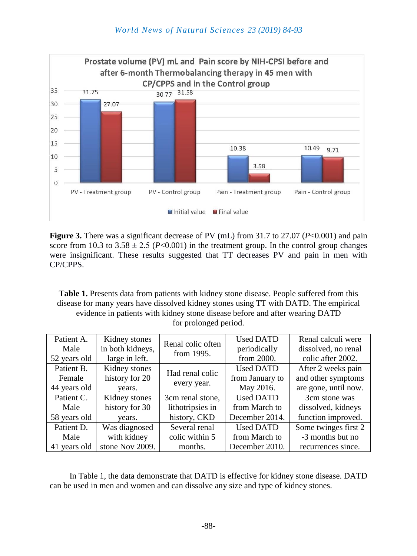

**Figure 3.** There was a significant decrease of PV (mL) from 31.7 to 27.07 (*P*<0.001) and pain score from 10.3 to  $3.58 \pm 2.5$  (*P*<0.001) in the treatment group. In the control group changes were insignificant. These results suggested that TT decreases PV and pain in men with CP/CPPS.

**Table 1.** Presents data from patients with kidney stone disease. People suffered from this disease for many years have dissolved kidney stones using TT with DATD. The empirical evidence in patients with kidney stone disease before and after wearing DATD for prolonged period.

| Patient A.   | Kidney stones    | Renal colic often<br>from 1995. | <b>Used DATD</b> | Renal calculi were   |
|--------------|------------------|---------------------------------|------------------|----------------------|
| Male         | in both kidneys, |                                 | periodically     | dissolved, no renal  |
| 52 years old | large in left.   |                                 | from 2000.       | colic after 2002.    |
| Patient B.   | Kidney stones    | Had renal colic<br>every year.  | <b>Used DATD</b> | After 2 weeks pain   |
| Female       | history for 20   |                                 | from January to  | and other symptoms   |
| 44 years old | years.           |                                 | May 2016.        | are gone, until now. |
| Patient C.   | Kidney stones    | 3cm renal stone,                | <b>Used DATD</b> | 3cm stone was        |
| Male         | history for 30   | lithotripsies in                | from March to    | dissolved, kidneys   |
| 58 years old | years.           | history, CKD                    | December 2014.   | function improved.   |
| Patient D.   | Was diagnosed    | Several renal                   | <b>Used DATD</b> | Some twinges first 2 |
| Male         | with kidney      | colic within 5                  | from March to    | -3 months but no     |
| 41 years old | stone Nov 2009.  | months.                         | December 2010.   | recurrences since.   |

In Table 1, the data demonstrate that DATD is effective for kidney stone disease. DATD can be used in men and women and can dissolve any size and type of kidney stones.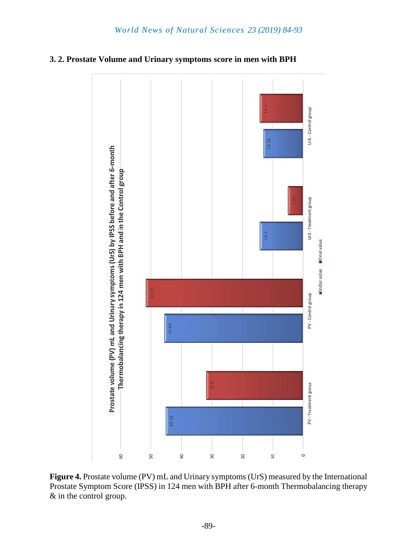



**Figure 4.** Prostate volume (PV) mL and Urinary symptoms (UrS) measured by the International Prostate Symptom Score (IPSS) in 124 men with BPH after 6-month Thermobalancing therapy & in the control group.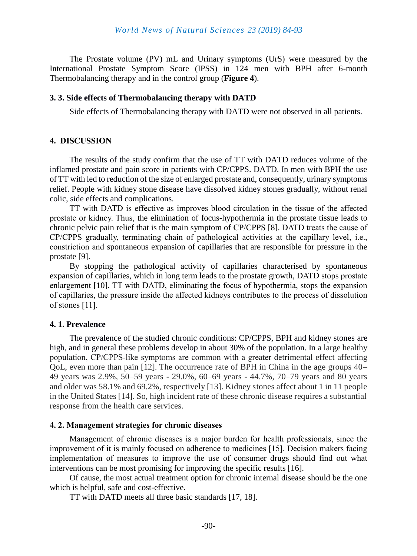The Prostate volume (PV) mL and Urinary symptoms (UrS) were measured by the International Prostate Symptom Score (IPSS) in 124 men with BPH after 6-month Thermobalancing therapy and in the control group (**Figure 4**).

#### **3. 3. Side effects of Thermobalancing therapy with DATD**

Side effects of Thermobalancing therapy with DATD were not observed in all patients.

#### **4. DISCUSSION**

The results of the study confirm that the use of TT with DATD reduces volume of the inflamed prostate and pain score in patients with CP/CPPS. DATD. In men with BPH the use of TT with led to reduction of the size of enlarged prostate and, consequently, urinary symptoms relief. People with kidney stone disease have dissolved kidney stones gradually, without renal colic, side effects and complications.

TT with DATD is effective as improves blood circulation in the tissue of the affected prostate or kidney. Thus, the elimination of focus-hypothermia in the prostate tissue leads to chronic pelvic pain relief that is the main symptom of CP/CPPS [8]. DATD treats the cause of CP/CPPS gradually, terminating chain of pathological activities at the capillary level, i.e., constriction and spontaneous expansion of capillaries that are responsible for pressure in the prostate [9].

By stopping the pathological activity of capillaries characterised by spontaneous expansion of capillaries, which in long term leads to the prostate growth, DATD stops prostate enlargement [10]. TT with DATD, eliminating the focus of hypothermia, stops the expansion of capillaries, the pressure inside the affected kidneys contributes to the process of dissolution of stones [11].

#### **4. 1. Prevalence**

The prevalence of the studied chronic conditions: CP/CPPS, BPH and kidney stones are high, and in general these problems develop in about 30% of the population. In a large healthy population, CP/CPPS‐like symptoms are common with a greater detrimental effect affecting QoL, even more than pain [12]. The occurrence rate of BPH in China in the age groups 40– 49 years was 2.9%, 50–59 years - 29.0%, 60–69 years - 44.7%, 70–79 years and 80 years and older was 58.1% and 69.2%, respectively [13]. Kidney stones affect about 1 in 11 people in the United States [14]. So, high incident rate of these chronic disease requires a substantial response from the health care services.

#### **4. 2. Management strategies for chronic diseases**

Management of chronic diseases is a major burden for health professionals, since the improvement of it is mainly focused on adherence to medicines [15]. Decision makers facing implementation of measures to improve the use of consumer drugs should find out what interventions can be most promising for improving the specific results [16].

Of cause, the most actual treatment option for chronic internal disease should be the one which is helpful, safe and cost-effective.

TT with DATD meets all three basic standards [17, 18].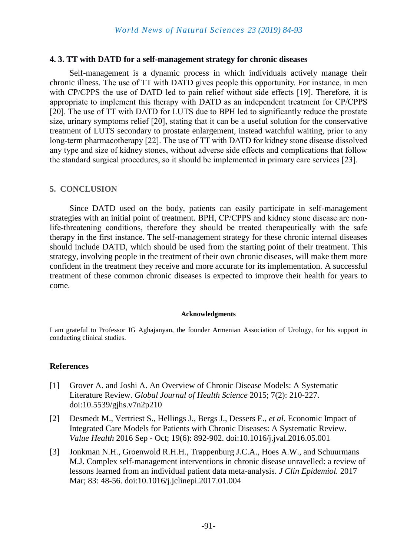#### **4. 3. TT with DATD for a self-management strategy for chronic diseases**

Self-management is a dynamic process in which individuals actively manage their chronic illness. The use of TT with DATD gives people this opportunity. For instance, in men with CP/CPPS the use of DATD led to pain relief without side effects [19]. Therefore, it is appropriate to implement this therapy with DATD as an independent treatment for CP/CPPS [20]. The use of TT with DATD for LUTS due to BPH led to significantly reduce the prostate size, urinary symptoms relief [20], stating that it can be a useful solution for the conservative treatment of LUTS secondary to prostate enlargement, instead watchful waiting, prior to any long-term pharmacotherapy [22]. The use of TT with DATD for kidney stone disease dissolved any type and size of kidney stones, without adverse side effects and complications that follow the standard surgical procedures, so it should be implemented in primary care services [23].

#### **5. CONCLUSION**

Since DATD used on the body, patients can easily participate in self-management strategies with an initial point of treatment. BPH, CP/CPPS and kidney stone disease are nonlife-threatening conditions, therefore they should be treated therapeutically with the safe therapy in the first instance. The self-management strategy for these chronic internal diseases should include DATD, which should be used from the starting point of their treatment. This strategy, involving people in the treatment of their own chronic diseases, will make them more confident in the treatment they receive and more accurate for its implementation. A successful treatment of these common chronic diseases is expected to improve their health for years to come.

#### **Acknowledgments**

I am grateful to Professor IG Aghajanyan, the founder Armenian Association of Urology, for his support in conducting clinical studies.

#### **References**

- [1] Grover A. and Joshi A. An Overview of Chronic Disease Models: A Systematic Literature Review. *Global Journal of Health Science* 2015; 7(2): 210-227. doi:10.5539/gjhs.v7n2p210
- [2] Desmedt M., Vertriest S., Hellings J., Bergs J., Dessers E., *et al*. Economic Impact of Integrated Care Models for Patients with Chronic Diseases: A Systematic Review. *Value Health* 2016 Sep - Oct; 19(6): 892-902. doi:10.1016/j.jval.2016.05.001
- [3] Jonkman N.H., Groenwold R.H.H., Trappenburg J.C.A., Hoes A.W., and Schuurmans M.J. Complex self-management interventions in chronic disease unravelled: a review of lessons learned from an individual patient data meta-analysis. *J Clin Epidemiol.* 2017 Mar; 83: 48-56. doi:10.1016/j.jclinepi.2017.01.004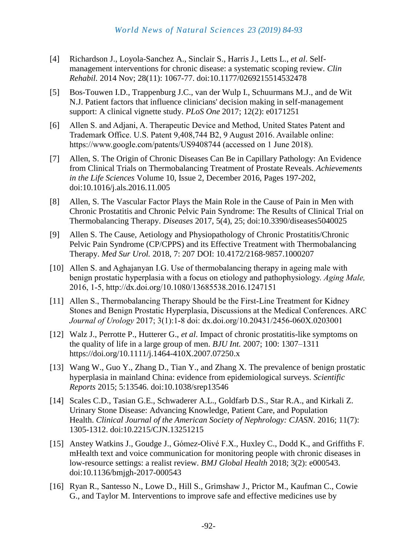- [4] Richardson J., Loyola-Sanchez A., Sinclair S., Harris J., Letts L., *et al*. Selfmanagement interventions for chronic disease: a systematic scoping review. *Clin Rehabil.* 2014 Nov; 28(11): 1067-77. doi:10.1177/0269215514532478
- [5] Bos-Touwen I.D., Trappenburg J.C., van der Wulp I., Schuurmans M.J., and de Wit N.J. Patient factors that influence clinicians' decision making in self-management support: A clinical vignette study. *PLoS One* 2017; 12(2): e0171251
- [6] Allen S. and Adjani, A. Therapeutic Device and Method, United States Patent and Trademark Office. U.S. Patent 9,408,744 B2, 9 August 2016. Available online: https://www.google.com/patents/US9408744 (accessed on 1 June 2018).
- [7] Allen, S. The Origin of Chronic Diseases Can Be in Capillary Pathology: An Evidence from Clinical Trials on Thermobalancing Treatment of Prostate Reveals. *[Achievements](https://www.sciencedirect.com/science/journal/20781520)  [in the Life Sciences](https://www.sciencedirect.com/science/journal/20781520)* [Volume 10, Issue 2,](https://www.sciencedirect.com/science/journal/20781520/10/2) December 2016, Pages 197-202, doi:10.1016/j.als.2016.11.005
- [8] Allen, S. The Vascular Factor Plays the Main Role in the Cause of Pain in Men with Chronic Prostatitis and Chronic Pelvic Pain Syndrome: The Results of Clinical Trial on Thermobalancing Therapy. *Diseases* 2017, 5(4), 25; doi:10.3390/diseases5040025
- [9] Allen S. The Cause, Aetiology and Physiopathology of Chronic Prostatitis/Chronic Pelvic Pain Syndrome (CP/CPPS) and its Effective Treatment with Thermobalancing Therapy. *Med Sur Urol.* 2018, 7: 207 DOI: [10.4172/2168-9857.1000207](https://doi.org/10.4172/2168-9857.1000207)
- [10] Allen S. and Aghajanyan I.G. Use of thermobalancing therapy in ageing male with benign prostatic hyperplasia with a focus on etiology and pathophysiology. *Aging Male,* 2016, 1-5, http://dx.doi.org/10.1080/13685538.2016.1247151
- [11] Allen S., Thermobalancing Therapy Should be the First-Line Treatment for Kidney Stones and Benign Prostatic Hyperplasia, Discussions at the Medical Conferences. ARC *Journal of Urology* 2017; 3(1):1-8 doi: dx.doi.org/10.20431/2456-060X.0203001
- [12] Walz J., Perrotte P., Hutterer G., *et al*. Impact of chronic prostatitis-like symptoms on the quality of life in a large group of men. *BJU Int.* 2007; 100: 1307–1311 https://doi.org/10.1111/j.1464-410X.2007.07250.x
- [13] Wang W., Guo Y., Zhang D., Tian Y., and Zhang X. The prevalence of benign prostatic hyperplasia in mainland China: evidence from epidemiological surveys. *Scientific Reports* 2015; 5:13546. doi:10.1038/srep13546
- [14] Scales C.D., Tasian G.E., Schwaderer A.L., Goldfarb D.S., Star R.A., and Kirkali Z. Urinary Stone Disease: Advancing Knowledge, Patient Care, and Population Health. *Clinical Journal of the American Society of Nephrology: CJASN.* 2016; 11(7): 1305-1312. doi:10.2215/CJN.13251215
- [15] Anstey Watkins J., Goudge J., Gómez-Olivé F.X., Huxley C., Dodd K., and Griffiths F. mHealth text and voice communication for monitoring people with chronic diseases in low-resource settings: a realist review. *BMJ Global Health* 2018; 3(2): e000543. doi:10.1136/bmjgh-2017-000543
- [16] Ryan R., Santesso N., Lowe D., Hill S., Grimshaw J., Prictor M., Kaufman C., Cowie G., and Taylor M. Interventions to improve safe and effective medicines use by